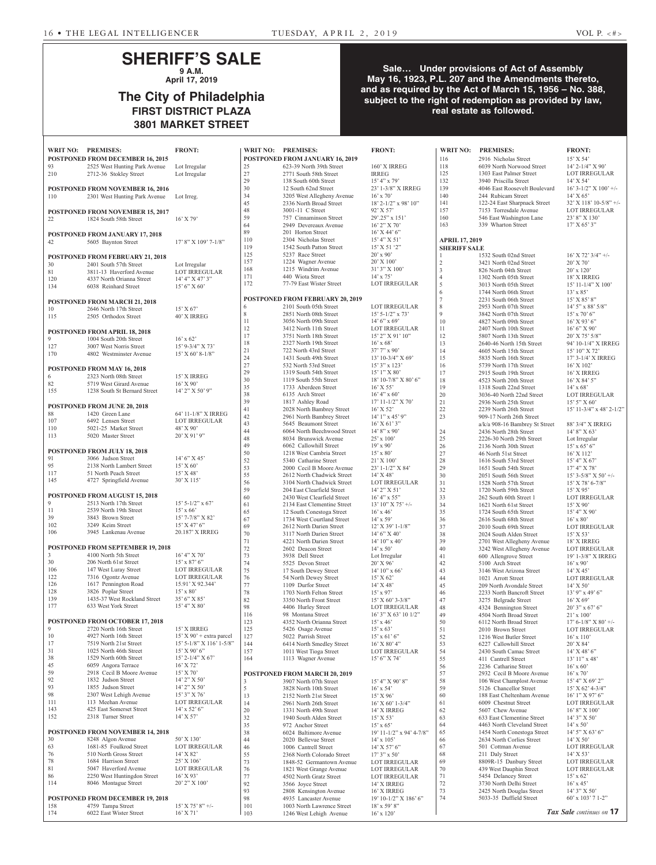# **SHERIFF'S SALE 9 A.M.**

**April 17, 2019**

# **The City of Philadelphia FIRST DISTRICT PLAZA 3801 MARKET STREET**

## **Sale… Under provisions of Act of Assembly May 16, 1923, P.L. 207 and the Amendments thereto, and as required by the Act of March 15, 1956 – No. 388, subject to the right of redemption as provided by law, real estate as followed.**

|            | WRIT NO: PREMISES:                                       | <b>FRONT:</b>                           | WRIT NO: PREMISES: |                                                                   | <b>FRONT:</b>                           | <b>WRIT NO:</b>                | <b>PREMISES:</b>                                         | <b>FRONT:</b>                              |
|------------|----------------------------------------------------------|-----------------------------------------|--------------------|-------------------------------------------------------------------|-----------------------------------------|--------------------------------|----------------------------------------------------------|--------------------------------------------|
|            | POSTPONED FROM DECEMBER 16, 2015                         |                                         |                    | POSTPONED FROM JANUARY 16, 2019                                   |                                         | 116                            | 2916 Nicholas Street                                     | 15' X 54'                                  |
| 93         | 2525 West Hunting Park Avenue                            | Lot Irregular                           | 25<br>27           | 623-39 North 39th Street                                          | 160' X IRREG<br><b>IRREG</b>            | 118<br>125                     | 6039 North Norwood Street<br>1303 East Palmer Street     | $14'$ 2- $1/4''$ X 90'<br>LOT IRREGULAR    |
| 210        | 2712-36 Stokley Street                                   | Lot Irregular                           | 29                 | 2771 South 58th Street<br>138 South 60th Street                   | $15' 4''$ x 79'                         | 132                            | 3940 Priscilla Street                                    | 14' X 54'                                  |
|            | POSTPONED FROM NOVEMBER 16, 2016                         |                                         | 30                 | 12 South 62nd Street                                              | 23' 1-3/8" X IRREG                      | 139                            | 4046 East Roosevelt Boulevard                            | $16'$ 3- $1/2''$ X $100'$ +/-              |
| 110        | 2301 West Hunting Park Avenue                            | Lot Irreg.                              | 34                 | 3205 West Allegheny Avenue                                        | $16'$ x $70'$                           | 140                            | 244 Rubicam Street                                       | $14'$ X 65                                 |
|            |                                                          |                                         | 45                 | 2336 North Broad Street                                           | 18' 2-1/2" x 98' 10"                    | 141                            | 122-24 East Sharpnack Street                             | 32' X 118' 10-5/8" +/-                     |
|            | POSTPONED FROM NOVEMBER 15, 2017                         |                                         | 48<br>59           | 3001-11 C Street<br>757 Cinnaminson Street                        | 92' X 57'<br>29'.25" x 151'             | 157<br>160                     | 7153 Torresdale Avenue<br>546 East Washington Lane       | <b>LOT IRREGULAR</b><br>23' 8" X 130'      |
| 22         | 1824 South 58th Street                                   | $16'$ X 79'                             | 64                 | 2949 Devereaux Avenue                                             | $16'$ 2" X 70'                          | 163                            | 339 Wharton Street                                       | 17' X 65' 3''                              |
|            | POSTPONED FROM JANUARY 17, 2018                          |                                         | 89                 | 201 Horton Street                                                 | $16'$ X 44' 6"                          |                                |                                                          |                                            |
| 42         | 5605 Baynton Street                                      | 17' 8" X 109' 7-1/8"                    | 110                | 2304 Nicholas Street                                              | 15' 4" X 51'                            | <b>APRIL 17, 2019</b>          |                                                          |                                            |
|            |                                                          |                                         | 119                | 1542 South Patton Street                                          | 15' X 51 '2"                            | <b>SHERIFF SALE</b>            |                                                          |                                            |
|            | <b>POSTPONED FROM FEBRUARY 21, 2018</b>                  |                                         | 125<br>157         | 5237 Race Street<br>1224 Wagner Avenue                            | $20'$ x 90'<br>$20'$ X $100'$           |                                | 1532 South 02nd Street                                   | $16'$ X 72' $3/4"$ +/-                     |
| 30         | 2401 South 57th Street                                   | Lot Irregular                           | 168                | 1215 Windrim Avenue                                               | 31' 3" X 100'                           | $\mathbf{2}$<br>$\overline{3}$ | 3421 North 02nd Street<br>826 North 04th Street          | $20'$ X 70'<br>$20'$ x $120'$              |
| 81<br>120  | 3811-13 Haverford Avenue<br>4337 North Orianna Street    | <b>LOT IRREGULAR</b><br>14' 4" X 47' 3" | 171                | 440 Wiota Street                                                  | $14'$ x $75'$                           | $\overline{4}$                 | 1302 North 05th Street                                   | 18' X IRREG                                |
| 134        | 6038 Reinhard Street                                     | $15'6''$ X 60'                          | 172                | 77-79 East Wister Street                                          | <b>LOT IRREGULAR</b>                    | 5                              | 3013 North 05th Street                                   | 15' 11-1/4" X 100'                         |
|            |                                                          |                                         |                    |                                                                   |                                         | 6                              | 1744 North 06th Street                                   | $13' \times 85'$                           |
|            | POSTPONED FROM MARCH 21, 2018                            |                                         | 6                  | <b>POSTPONED FROM FEBRUARY 20, 2019</b><br>2101 South 05th Street | <b>LOT IRREGULAR</b>                    | $\overline{7}$<br>8            | 2231 South 06th Street<br>2953 North 07th Street         | $15'$ X $85'$ $8''$<br>$14'$ 5" x 88' 5/8" |
| 10         | 2646 North 17th Street                                   | 15' X 67'                               | 8                  | 2851 North 08th Street                                            | $15'$ 5-1/2" x 73'                      | 9                              | 3842 North 07th Street                                   | $15'$ x 70' 6"                             |
| 115        | 2505 Orthodox Street                                     | 40' X IRREG                             | 11                 | 3056 North 09th Street                                            | $14'6''$ x 69'                          | 10                             | 4827 North 09th Street                                   | $16'$ X 93' 6"                             |
|            | POSTPONED FROM APRIL 18, 2018                            |                                         | 12                 | 3412 North 11th Street                                            | LOT IRREGULAR                           | 11                             | 2407 North 10th Street                                   | 16' 6'' X 90'                              |
| 9          | 1004 South 20th Street                                   | $16'$ x 62'                             | 17                 | 3751 North 18th Street                                            | $15'$ 2" X 91' 10"                      | 12                             | 5807 North 13th Street                                   | 20' X 75' 5/8"                             |
| 127        | 3007 West Norris Street                                  | 15' 9-3/4" X 73'                        | 18<br>21           | 2327 North 19th Street<br>722 North 43rd Street                   | $16'$ x 68'<br>37' 7" x 90'             | 13<br>14                       | 2640-46 North 15th Street<br>4605 North 15th Street      | 94' 10-1/4" X IRREG<br>15' 10" X 72'       |
| 170        | 4802 Westminster Avenue                                  | $15'$ X 60' 8-1/8"                      | 24                 | 1431 South 49th Street                                            | $13'$ 10-3/4" X 69"                     | 15                             | 5835 North 16th Street                                   | 17' 3-1/4' X IRREG                         |
|            | POSTPONED FROM MAY 16, 2018                              |                                         | 27                 | 532 North 53rd Street                                             | $15'3''$ x $123'$                       | 16                             | 5739 North 17th Street                                   | 16' X 102'                                 |
| 6          | 2323 North 08th Street                                   | 15' X IRREG                             | 29                 | 1319 South 54th Street                                            | 15' 1" X 80'                            | 17                             | 2915 South 19th Street                                   | 16' X IRREG                                |
| 82         | 5719 West Girard Avenue                                  | $16'$ X $90'$                           | 30<br>35           | 1119 South 55th Street<br>1733 Aberdeen Street                    | 18' 10-7/8" X 80' 6"<br>$16'$ X 55'     | 18<br>19                       | 4523 North 20th Street                                   | $16'$ X 84' 5"                             |
| 155        | 1238 South St Bernard Street                             | 14' 2" X 50' 9"                         | 38                 | 6135 Arch Street                                                  | $16' 4''$ x 60'                         | 20                             | 1318 South 22nd Street<br>3036-40 North 22nd Street      | $14' \times 68'$<br>LOT IRREGULAR          |
|            |                                                          |                                         | 39                 | 1817 Ashley Road                                                  | $17' 11 - 1/2'' X 70'$                  | 21                             | 2936 North 25th Street                                   | $15'5''$ X 60'                             |
| 88         | POSTPONED FROM JUNE 20, 2018<br>1420 Green Lane          | 64' 11-1/8" X IRREG                     | 41                 | 2028 North Bambrey Street                                         | 16' X 52'                               | 22                             | 2239 North 26th Street                                   | $15'$ 11-3/4" x 48' 2-1/2"                 |
| 107        | 6492 Lensen Street                                       | LOT IRREGULAR                           | 42                 | 2961 North Bambrey Street                                         | 14' 1" x 45' 9"                         | 23                             | 909-17 North 26th Street                                 |                                            |
| 110        | 5021-25 Market Street                                    | 48' X 90'                               | 43<br>44           | 5645 Beaumont Street<br>6064 North Beechwood Street               | $16'$ X 61' 3"<br>$14'8''$ x 90'        | 24                             | a/k/a 908-16 Bambrey St Street<br>2436 North 28th Street | 88' 3/4" X IRREG<br>$14'$ 8" X 63'         |
| 113        | 5020 Master Street                                       | $20'$ X 91' 9"                          | 48                 | 8034 Brunswick Avenue                                             | $25'$ x $100'$                          | 25                             | 2226-30 North 29th Street                                | Lot Irregular                              |
|            |                                                          |                                         | 49                 | 6062 Callowhill Street                                            | $19'$ x 90'                             | 26                             | 2136 North 30th Street                                   | $15'$ x 65' 6"                             |
| 91         | POSTPONED FROM JULY 18, 2018<br>3066 Judson Street       | $14'6''$ X 45'                          | 50                 | 1218 West Cambria Street                                          | $15' \times 80'$                        | 27                             | 46 North 51st Street                                     | $16'$ X $112'$                             |
| 95         | 2138 North Lambert Street                                | 15' X 60'                               | 52                 | 5340 Catharine Street                                             | $21'$ X $100'$                          | 28                             | 1616 South 53rd Street                                   | 15' 4" X 67'                               |
| 117        | 51 North Peach Street                                    | 15' X 48'                               | 53<br>55           | 2000 Cecil B Moore Avenue<br>2612 North Chadwick Street           | 23' 1-1/2" X 84'<br>$14'$ X 48'         | 29<br>30                       | 1651 South 54th Street<br>2051 South 56th Street         | 17' 4'' X 78'<br>$15'$ 3-5/8" X 50' +/-    |
| 145        | 4727 Springfield Avenue                                  | 30' X 115'                              | 56                 | 3104 North Chadwick Street                                        | <b>LOT IRREGULAR</b>                    | 31                             | 1528 North 57th Street                                   | $15'$ X 78' 6-7/8"                         |
|            |                                                          |                                         | 59                 | 204 East Clearfield Street                                        | $14'$ 2" X 51'                          | 32                             | 1720 North 59th Street                                   | $15'$ X 95'                                |
| 9          | POSTPONED FROM AUGUST 15, 2018<br>2513 North 17th Street | $15'$ 5-1/2" x 67'                      | 60                 | 2430 West Clearfield Street                                       | $16' 4''$ x 55"                         | 33                             | 262 South 60th Street 1                                  | <b>LOT IRREGULAR</b>                       |
| 11         | 2539 North 19th Street                                   | $15'$ x 66'                             | 61<br>65           | 2134 East Clementine Street                                       | $13'$ 10" X 75' +/-<br>$16'$ x $46'$    | 34                             | 1621 North 61st Street                                   | $15'$ X 90'                                |
| 39         | 3843 Brown Street                                        | 15' 7-7/8" X 82'                        | 67                 | 12 South Conestoga Street<br>1734 West Courtland Street           | $14'$ x 59'                             | 35<br>36                       | 1724 South 65th Street<br>2616 South 68th Street         | 15' 4'' X 90'<br>$16'$ x $80'$             |
| 102        | 3249 Keim Street                                         | $15'$ X 47' 6"                          | 69                 | 2612 North Darien Street                                          | 12' X 39' 1-1/8"                        | 37                             | 2010 South 69th Street                                   | $\mathop{\rm LOT}\nolimits$ IRREGULAR      |
| 106        | 3945 Lankenau Avenue                                     | 20.187' X IRREG                         | 70                 | 3117 North Darien Street                                          | 14' 6'' X 40'                           | 38                             | 2024 South Alden Street                                  | $15'$ X 53'                                |
|            | <b>POSTPONED FROM SEPTEMBER 19, 2018</b>                 |                                         | 71                 | 4221 North Darien Street                                          | $14'$ 10" x 40"                         | 39                             | 2701 West Allegheny Avenue                               | 18' X IRREG                                |
| 3          | 4100 North 5th Street                                    | 16' 4'' X 70'                           | 72<br>73           | 2602 Deacon Street<br>3938 Dell Street                            | $14' \times 50'$<br>Lot Irregular       | 40<br>41                       | 3242 West Allegheny Avenue<br>600 Allengrove Street      | <b>LOT IRREGULAR</b><br>19' 1-3/8" X IRREG |
| 30         | 206 North 61st Street                                    | $15'$ x 87' 6"                          | 74                 | 5525 Devon Street                                                 | 20' X 96'                               | 42                             | 5100 Arch Street                                         | $16'$ x 90'                                |
| 106        | 147 West Luray Street                                    | <b>LOT IRREGULAR</b>                    | 75                 | 17 South Dewey Street                                             | $14'$ 10" x 66"                         | 43                             | 3146 West Arizona Street                                 | 14' X 45'                                  |
| 122        | 7316 Ogontz Avenue                                       | <b>LOT IRREGULAR</b>                    | 76                 | 54 North Dewey Street                                             | $15'$ X 62'                             | 44                             | 1021 Arrott Street                                       | LOT IRREGULAR                              |
| 126<br>128 | 1617 Pennington Road<br>3826 Poplar Street               | 15.91' X 92.344'<br>$15' \times 80'$    | 77<br>78           | 1109 Durfor Street<br>1703 North Felton Street                    | 14' X 48'                               | 45                             | 209 North Avondale Street<br>2233 North Bancroft Street  | 14' X 50'                                  |
| 139        | 1435-37 West Rockland Street                             | $35'6''$ X $85'$                        | 82                 | 3350 North Front Street                                           | $15'$ x 97'<br>$15'$ X 60' 3-3/8"       | 46<br>47                       | 3275 Belgrade Street                                     | 13' 9" x 49' 6"<br>$16'$ X 69'             |
| 177        | 633 West York Street                                     | 15' 4'' X 80'                           | 98                 | 4406 Hurley Street                                                | LOT IRREGULAR                           | 48                             | 4324 Bennington Street                                   | $20'3''$ x 67' 6"                          |
|            |                                                          |                                         | 116                | 98 Montana Street                                                 | 16' 3" X 63' 10 1/2"                    | 49                             | 4504 North Broad Street                                  | $21' \times 100'$                          |
|            | <b>POSTPONED FROM OCTOBER 17, 2018</b>                   |                                         | 123                | 4352 North Orianna Street                                         | $15'$ x 46'                             | 50                             | 6112 North Broad Street                                  | $17' 6 - 1/8'' X 80' +$ /-                 |
| 9<br>10    | 2720 North 16th Street<br>4927 North 16th Street         | 15' X IRREG<br>15' X 90' + extra parcel | 125<br>127         | 5426 Osage Avenue<br>5022 Parrish Street                          | $15' \times 63'$<br>$15'$ x 61' 6"      | 51<br>52                       | 2010 Brown Street<br>1216 West Butler Street             | LOT IRREGULAR<br>$16' \times 110'$         |
| 17         | 7519 North 21st Street                                   | 15' 5-1/8" X 116' 1-5/8"                | 144                | 6414 North Smedley Street                                         | $16'$ X 80' 4"                          | 53                             | 6227 Callowhill Street                                   | 20' X 84'                                  |
| 31         | 1025 North 46th Street                                   | $15'$ X 90' 6"                          | 157                | 1011 West Tioga Street                                            | <b>LOT IRREGULAR</b>                    | 54                             | 2430 South Camac Street                                  | 14' X 48' 6"                               |
| 38         | 1529 North 60th Street                                   | $15'$ 2-1/4" X 67"                      | 164                | 1113 Wagner Avenue                                                | 15' 6''  X 74'                          | 55                             | 411 Cantrell Street                                      | $13'11''$ x 48'                            |
| 45<br>59   | 6059 Angora Terrace<br>2918 Cecil B Moore Avenue         | $16'$ X 72'<br>$15'$ X 70'              |                    |                                                                   |                                         | 56                             | 2236 Catharine Street                                    | $16'$ x 60'                                |
| 92         | 1832 Judson Street                                       | $14'$ 2" X 50'                          | 3                  | <b>POSTPONED FROM MARCH 20, 2019</b><br>3907 North 07th Street    | 15' 4" X 90' 8"                         | 57<br>58                       | 2932 Cecil B Moore Avenue<br>106 West Champlost Avenue   | $16'$ x $70'$<br>15' 4" X 69' 2"           |
| 93         | 1855 Judson Street                                       | 14' 2" X 50'                            | 5                  | 3828 North 10th Street                                            | $16'$ x 54'                             | 59                             | 5126 Chancellor Street                                   | $15'$ X 62' 4-3/4"                         |
| 98         | 2307 West Lehigh Avenue                                  | $15'3''$ X 76'                          | 13                 | 2152 North 21st Street                                            | $15'$ X 96'                             | 60                             | 188 East Cheltenham Avenue                               | $16'1''$ X 97' 6"                          |
| 111        | 113 Meehan Avenue                                        | LOT IRREGULAR                           | 14                 | 2961 North 26th Street                                            | $16'$ X 60' 1-3/4"                      | 61                             | 6009 Chestnut Street                                     | LOT IRREGULAR                              |
| 143<br>152 | 425 East Somerset Street<br>2318 Turner Street           | $14'$ x 52' 6"<br>14' X 57'             | 20<br>32           | 1331 North 49th Street                                            | 14' X IRREG                             | 62<br>63                       | 5607 Chew Avenue<br>633 East Clementine Street           | 16' 8" X 100'<br>$14'$ 3" X 50'            |
|            |                                                          |                                         | 35                 | 1940 South Alden Street<br>972 Anchor Street                      | $15'$ X 53'<br>$15' \times 65'$         | 64                             | 4463 North Cleveland Street                              | $14' \times 50'$                           |
|            | <b>POSTPONED FROM NOVEMBER 14, 2018</b>                  |                                         | 38                 | 6024 Baltimore Avenue                                             | 19' 11-1/2" x 94' 4-7/8"                | 65                             | 1454 North Conestoga Street                              | 14' 5" X 63' 6"                            |
| 30         | 8248 Algon Avenue                                        | 50' X 130'                              | 44                 | 2020 Bellevue Street                                              | $14' \times 105'$                       | 66                             | 2634 North Corlies Street                                | 14' X 50'                                  |
| 63         | 1681-85 Foulkrod Street                                  | <b>LOT IRREGULAR</b>                    | 46                 | 1006 Cantrell Street                                              | $14'$ X 57' 6"                          | 67                             | 501 Cottman Avenue                                       | <b>LOT IRREGULAR</b>                       |
| 76<br>78   | 510 North Gross Street<br>1684 Harrison Street           | $14'$ X $82'$<br>25' X 106'             | 55<br>73           | 2368 North Colorado Street<br>1848-52 Germantown Avenue           | $17'3''$ x 50'<br><b>LOT IRREGULAR</b>  | 68<br>69                       | 211 Daly Street<br>8809R-15 Danbury Street               | 14' X 53'<br><b>LOT IRREGULAR</b>          |
| 81         | 5047 Haverford Avenue                                    | <b>LOT IRREGULAR</b>                    | 76                 | 1821 West Grange Avenue                                           | LOT IRREGULAR                           | 70                             | 439 West Dauphin Street                                  | LOT IRREGULAR                              |
| 86         | 2250 West Huntingdon Street                              | $16'$ X 93'                             | 77                 | 4502 North Gratz Street                                           | LOT IRREGULAR                           | 71                             | 5454 Delancey Street                                     | $15' \times 62'$                           |
| 114        | 8046 Montague Street                                     | 20' 2" X 100'                           | 92                 | 3566 Joyce Street                                                 | 14' X IRREG                             | 72                             | 3730 North Delhi Street                                  | $16'$ x 45'                                |
|            |                                                          |                                         | 93<br>98           | 2808 Kensington Avenue                                            | 16' X IRREG                             | 73                             | 2425 North Douglas Street                                | 14' 3" X 50'                               |
| 158        | POSTPONED FROM DECEMBER 19, 2018<br>4759 Tampa Street    | $15'$ X 75' 8" +/-                      | 101                | 4935 Lancaster Avenue<br>1003 North Lawrence Street               | 19' 10-1/2" X 186' 6"<br>$18'$ x 59' 8" | 74                             | 5033-35 Duffield Street                                  | 60' x 103' 7 1-2"                          |
| 174        | 6022 East Wister Street                                  | $16'$ X 71'                             | 103                | 1246 West Lehigh Avenue                                           | $16'$ x $120'$                          |                                |                                                          | Tax Sale continues on 17                   |
|            |                                                          |                                         |                    |                                                                   |                                         |                                |                                                          |                                            |